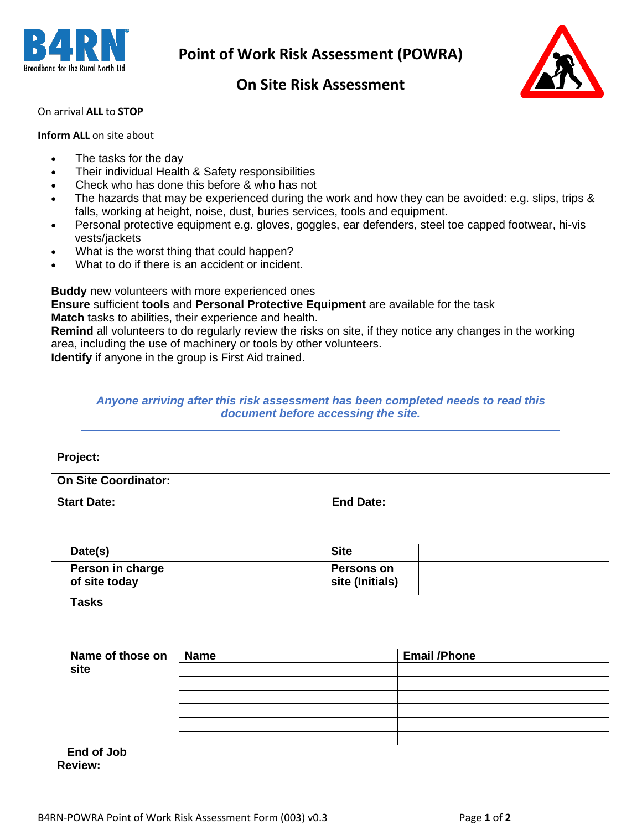

## **On Site Risk Assessment**



### On arrival **ALL** to **STOP**

#### **Inform ALL** on site about

- The tasks for the day
- Their individual Health & Safety responsibilities
- Check who has done this before & who has not
- The hazards that may be experienced during the work and how they can be avoided: e.g. slips, trips & falls, working at height, noise, dust, buries services, tools and equipment.
- Personal protective equipment e.g. gloves, goggles, ear defenders, steel toe capped footwear, hi-vis vests/jackets
- What is the worst thing that could happen?
- What to do if there is an accident or incident.

**Buddy** new volunteers with more experienced ones

**Ensure** sufficient **tools** and **Personal Protective Equipment** are available for the task

**Match** tasks to abilities, their experience and health.

**Remind** all volunteers to do regularly review the risks on site, if they notice any changes in the working area, including the use of machinery or tools by other volunteers.

**Identify** if anyone in the group is First Aid trained.

#### *Anyone arriving after this risk assessment has been completed needs to read this document before accessing the site.*

| Project:             |                  |
|----------------------|------------------|
| On Site Coordinator: |                  |
| <b>Start Date:</b>   | <b>End Date:</b> |

| Date(s)                           |             | <b>Site</b>                          |                      |
|-----------------------------------|-------------|--------------------------------------|----------------------|
| Person in charge<br>of site today |             | <b>Persons on</b><br>site (Initials) |                      |
| <b>Tasks</b>                      |             |                                      |                      |
| Name of those on                  | <b>Name</b> |                                      | <b>Email / Phone</b> |
| site                              |             |                                      |                      |
|                                   |             |                                      |                      |
|                                   |             |                                      |                      |
|                                   |             |                                      |                      |
|                                   |             |                                      |                      |
|                                   |             |                                      |                      |
| End of Job<br><b>Review:</b>      |             |                                      |                      |